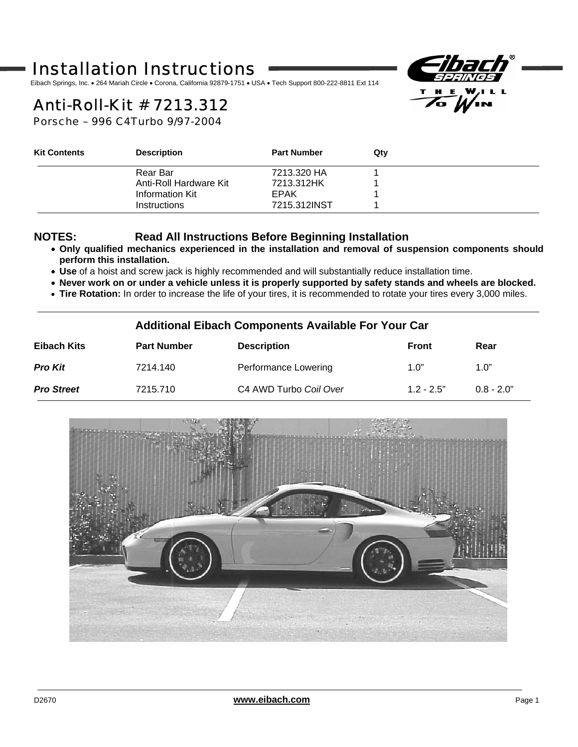# Installation Instructions

Eibach Springs, Inc. • 264 Mariah Circle • Corona, California 92879-1751 • USA • Tech Support 800-222-8811 Ext 114



# *Anti-Roll-Kit* # 7213.312

Porsche – 996 C4Turbo 9/97-2004

| <b>Kit Contents</b> | <b>Description</b>     | <b>Part Number</b> | Qty |  |
|---------------------|------------------------|--------------------|-----|--|
|                     | Rear Bar               | 7213.320 HA        |     |  |
|                     | Anti-Roll Hardware Kit | 7213.312HK         |     |  |
|                     | Information Kit        | EPAK               |     |  |
|                     | <b>Instructions</b>    | 7215.312INST       |     |  |

l

#### **NOTES: Read All Instructions Before Beginning Installation**

- **Only qualified mechanics experienced in the installation and removal of suspension components should perform this installation.**
- **Use** of a hoist and screw jack is highly recommended and will substantially reduce installation time.
- **Never work on or under a vehicle unless it is properly supported by safety stands and wheels are blocked.**
- **Tire Rotation:** In order to increase the life of your tires, it is recommended to rotate your tires every 3,000 miles.

#### **Additional Eibach Components Available For Your Car**

| Eibach Kits       | <b>Part Number</b> | <b>Description</b>     | <b>Front</b> | Rear         |
|-------------------|--------------------|------------------------|--------------|--------------|
| <b>Pro Kit</b>    | 7214.140           | Performance Lowering   | 1.0"         | 1.0"         |
| <b>Pro Street</b> | 7215.710           | C4 AWD Turbo Coil Over | $1.2 - 2.5"$ | $0.8 - 2.0"$ |